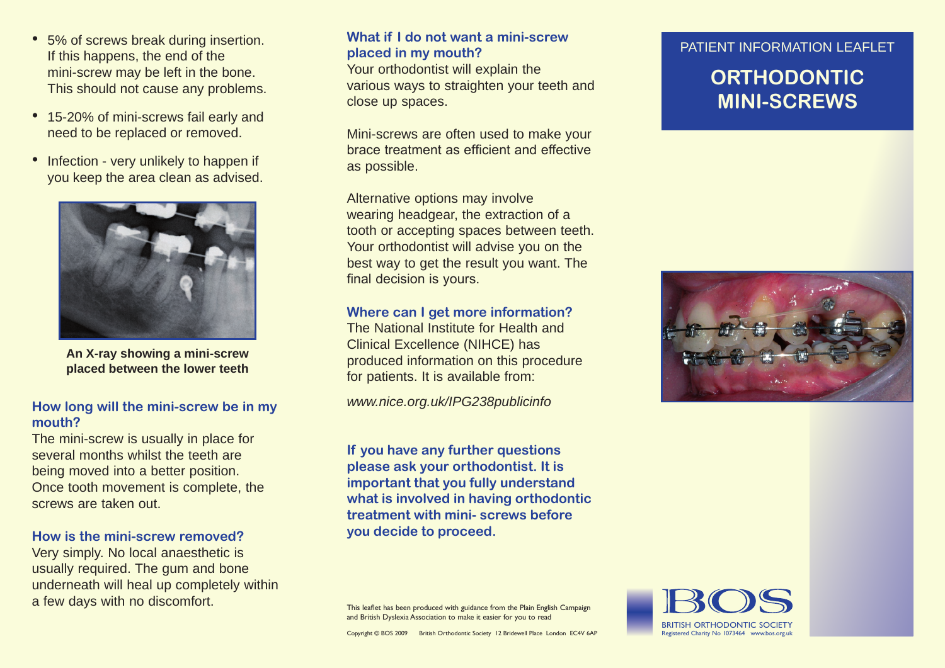- 5% of screws break during insertion. What if I do not want a mini-screw PATIENT INFORMATION LEAFLET If this happens, the end of the mini-screw may be left in the bone. This should not cause any problems.
- 15-20% of mini-screws fail early and need to be replaced or removed.
- Infection very unlikely to happen if you keep the area clean as advised.



**An X-ray showing a mini-screw placed between the lower teeth**

#### **How long will the mini-screw be in my mouth?**

The mini-screw is usually in place for several months whilst the teeth are being moved into a better position. Once tooth movement is complete, the screws are taken out.

#### **How is the mini-screw removed?**

Very simply. No local anaesthetic is usually required. The gum and bone underneath will heal up completely within a few days with no discomfort.<br>This leaflet has been produced with guidance from the Plain English Campaign

## **What if I do not want a mini-screw placed in my mouth?**

Your orthodontist will explain the various ways to straighten your teeth and close up spaces.

Mini-screws are often used to make your brace treatment as efficient and effective as possible.

Alternative options may involve wearing headgear, the extraction of a tooth or accepting spaces between teeth. Your orthodontist will advise you on the best way to get the result you want. The final decision is yours.

#### **Where can I get more information?**

The National Institute for Health and Clinical Excellence (NIHCE) has produced information on this procedure for patients. It is available from:

*www.nice.org.uk/IPG238publicinfo*

**If you have any further questions please ask your orthodontist. It is important that you fully understand what is involved in having orthodontic treatment with mini- screws before you decide to proceed.**

# **Orthodontic Mini-screws**



and British Dyslexia Association to make it easier for you to read